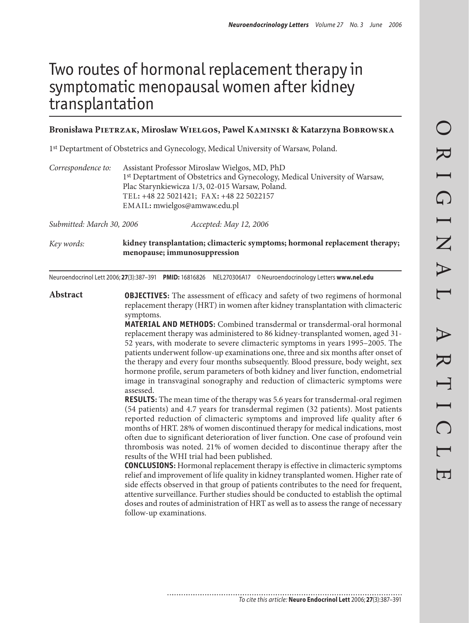# Two routes of hormonal replacement therapy in symptomatic menopausal women after kidney transplantation

### **Bronisława Pietrzak, Miroslaw Wielgos, Pawel Kaminski & Katarzyna Bobrowska**

1st Deptartment of Obstetrics and Gynecology, Medical University of Warsaw, Poland.

| Correspondence to: | Assistant Professor Miroslaw Wielgos, MD, PhD                                           |
|--------------------|-----------------------------------------------------------------------------------------|
|                    | 1 <sup>st</sup> Deptartment of Obstetrics and Gynecology, Medical University of Warsaw, |
|                    | Plac Starynkiewicza 1/3, 02-015 Warsaw, Poland.                                         |
|                    | TEL: +48 22 5021421; FAX: +48 22 5022157                                                |
|                    | EMAIL: mwielgos@amwaw.edu.pl                                                            |
|                    |                                                                                         |

*Submitted: March 30, 2006 Accepted: May 12, 2006*

*Key words:* **kidney transplantation; climacteric symptoms; hormonal replacement therapy; menopause; immunosuppression**

Neuroendocrinol Lett 2006; **27**(3):387–391 **PMID:** 16816826 NEL270306A17 ©Neuroendocrinology Letters **www.nel.edu**

**Abstract OBJECTIVES:** The assessment of efficacy and safety of two regimens of hormonal replacement therapy (HRT) in women after kidney transplantation with climacteric symptoms.

> **MATERIAL AND METHODS:** Combined transdermal or transdermal-oral hormonal replacement therapy was administered to 86 kidney-transplanted women, aged 31- 52 years, with moderate to severe climacteric symptoms in years 1995–2005. The patients underwent follow-up examinations one, three and six months after onset of the therapy and every four months subsequently. Blood pressure, body weight, sex hormone profile, serum parameters of both kidney and liver function, endometrial image in transvaginal sonography and reduction of climacteric symptoms were assessed.

> **RESULTS:** The mean time of the therapy was 5.6 years for transdermal-oral regimen (54 patients) and 4.7 years for transdermal regimen (32 patients). Most patients reported reduction of climacteric symptoms and improved life quality after 6 months of HRT. 28% of women discontinued therapy for medical indications, most often due to significant deterioration of liver function. One case of profound vein thrombosis was noted. 21% of women decided to discontinue therapy after the results of the WHI trial had been published.

> **CONCLUSIONS:** Hormonal replacement therapy is effective in climacteric symptoms relief and improvement of life quality in kidney transplanted women. Higher rate of side effects observed in that group of patients contributes to the need for frequent, attentive surveillance. Further studies should be conducted to establish the optimal doses and routes of administration of HRT as well as to assess the range of necessary follow-up examinations.

........................... *To cite this article:* **Neuro Endocrinol Lett** 2006; **27**(3):387–391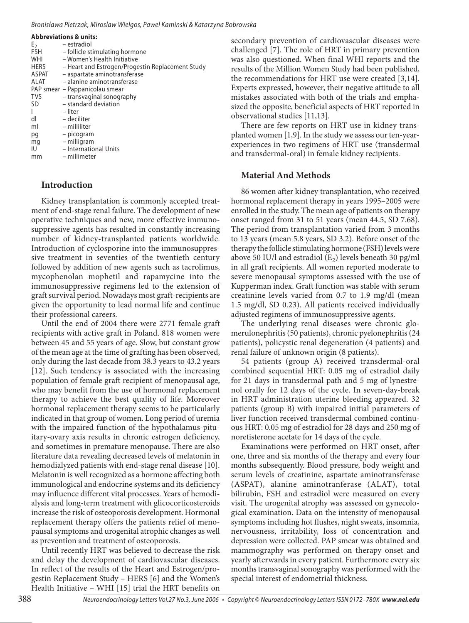#### *Bronisława Pietrzak, Miroslaw Wielgos, Pawel Kaminski & Katarzyna Bobrowska*

| <b>Abbreviations &amp; units:</b> |                                                  |
|-----------------------------------|--------------------------------------------------|
| E <sub>2</sub>                    | – estradiol                                      |
| FSH                               | - follicle stimulating hormone                   |
| WHI                               | - Women's Health Initiative                      |
| <b>HERS</b>                       | - Heart and Estrogen/Progestin Replacement Study |
| ASPAT                             | - aspartate aminotransferase                     |
| ALAT                              | - alanine aminotransferase                       |
|                                   | PAP smear – Pappanicolau smear                   |
| <b>TVS</b>                        | - transvaginal sonography                        |
| <b>SD</b>                         | - standard deviation                             |
|                                   | – liter                                          |
| dl                                | - deciliter                                      |
| ml                                | - milliliter                                     |
| pg                                | - picogram                                       |
| mq                                | - milligram                                      |
| IU                                | - International Units                            |
| mm                                | – millimeter                                     |

## **Introduction**

Kidney transplantation is commonly accepted treatment of end-stage renal failure. The development of new operative techniques and new, more effective immunosuppressive agents has resulted in constantly increasing number of kidney-transplanted patients worldwide. Introduction of cyclosporine into the immunosuppressive treatment in seventies of the twentieth century followed by addition of new agents such as tacrolimus, mycophenolan mophetil and rapamycine into the immunosuppressive regimens led to the extension of graft survival period. Nowadays most graft-recipients are given the opportunity to lead normal life and continue their professional careers.

Until the end of 2004 there were 2771 female graft recipients with active graft in Poland. 818 women were between 45 and 55 years of age. Slow, but constant grow of the mean age at the time of grafting has been observed, only during the last decade from 38.3 years to 43.2 years [12]. Such tendency is associated with the increasing population of female graft recipient of menopausal age, who may benefit from the use of hormonal replacement therapy to achieve the best quality of life. Moreover hormonal replacement therapy seems to be particularly indicated in that group of women. Long period of uremia with the impaired function of the hypothalamus-pituitary-ovary axis results in chronic estrogen deficiency, and sometimes in premature menopause. There are also literature data revealing decreased levels of melatonin in hemodialyzed patients with end-stage renal disease [10]. Melatonin is well recognized as a hormone affecting both immunological and endocrine systems and its deficiency may influence different vital processes. Years of hemodialysis and long-term treatment with glicocorticosteroids increase the risk of osteoporosis development. Hormonal replacement therapy offers the patients relief of menopausal symptoms and urogenital atrophic changes as well as prevention and treatment of osteoporosis.

Until recently HRT was believed to decrease the risk and delay the development of cardiovascular diseases. In reflect of the results of the Heart and Estrogen/progestin Replacement Study – HERS [6] and the Women's Health Initiative – WHI [15] trial the HRT benefits on secondary prevention of cardiovascular diseases were challenged [7]. The role of HRT in primary prevention was also questioned. When final WHI reports and the results of the Million Women Study had been published, the recommendations for HRT use were created [3,14]. Experts expressed, however, their negative attitude to all mistakes associated with both of the trials and emphasized the opposite, beneficial aspects of HRT reported in observational studies [11,13].

There are few reports on HRT use in kidney transplanted women [1,9]. In the study we assess our ten-yearexperiences in two regimens of HRT use (transdermal and transdermal-oral) in female kidney recipients.

# **Material And Methods**

86 women after kidney transplantation, who received hormonal replacement therapy in years 1995–2005 were enrolled in the study. The mean age of patients on therapy onset ranged from 31 to 51 years (mean 44.5, SD 7.68). The period from transplantation varied from 3 months to 13 years (mean 5.8 years, SD 3.2). Before onset of the therapy the follicle stimulating hormone (FSH) levels were above 50 IU/l and estradiol  $(E_2)$  levels beneath 30 pg/ml in all graft recipients. All women reported moderate to severe menopausal symptoms assessed with the use of Kupperman index. Graft function was stable with serum creatinine levels varied from 0.7 to 1.9 mg/dl (mean 1.5 mg/dl, SD 0.23). All patients received individually adjusted regimens of immunosuppressive agents.

The underlying renal diseases were chronic glomerulonephritis (50 patients), chronic pyelonephritis (24 patients), policystic renal degeneration (4 patients) and renal failure of unknown origin (8 patients).

54 patients (group A) received transdermal-oral combined sequential HRT: 0.05 mg of estradiol daily for 21 days in transdermal path and 5 mg of lynestrenol orally for 12 days of the cycle. In seven-day-break in HRT administration uterine bleeding appeared. 32 patients (group B) with impaired initial parameters of liver function received transdermal combined continuous HRT: 0.05 mg of estradiol for 28 days and 250 mg of noretisterone acetate for 14 days of the cycle.

Examinations were performed on HRT onset, after one, three and six months of the therapy and every four months subsequently. Blood pressure, body weight and serum levels of creatinine, aspartate aminotransferase (ASPAT), alanine aminotranferase (ALAT), total bilirubin, FSH and estradiol were measured on every visit. The urogenital atrophy was assessed on gynecological examination. Data on the intensity of menopausal symptoms including hot flushes, night sweats, insomnia, nervousness, irritability, loss of concentration and depression were collected. PAP smear was obtained and mammography was performed on therapy onset and yearly afterwards in every patient. Furthermore every six months transvaginal sonography was performed with the special interest of endometrial thickness.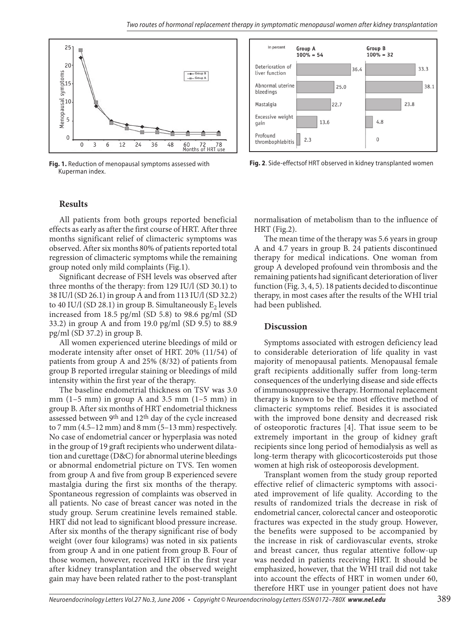

**Fig. 1.** Reduction of menopausal symptoms assessed with Kuperman index.



**Fig. 2**. Side-effectsof HRT observed in kidney transplanted women

## **Results**

All patients from both groups reported beneficial effects as early as after the first course of HRT. After three months significant relief of climacteric symptoms was observed. After six months 80% of patients reported total regression of climacteric symptoms while the remaining group noted only mild complaints (Fig.1).

Significant decrease of FSH levels was observed after three months of the therapy: from 129 IU/l (SD 30.1) to 38 IU/l (SD 26.1) in group A and from 113 IU/l (SD 32.2) to 40 IU/l (SD 28.1) in group B. Simultaneously  $E_2$  levels increased from 18.5 pg/ml (SD 5.8) to 98.6 pg/ml (SD 33.2) in group A and from 19.0 pg/ml (SD 9.5) to 88.9 pg/ml (SD 37.2) in group B.

All women experienced uterine bleedings of mild or moderate intensity after onset of HRT. 20% (11/54) of patients from group A and 25% (8/32) of patients from group B reported irregular staining or bleedings of mild intensity within the first year of the therapy.

The baseline endometrial thickness on TSV was 3.0 mm  $(1-5$  mm) in group A and 3.5 mm  $(1-5$  mm) in group B. After six months of HRT endometrial thickness assessed between 9th and 12th day of the cycle increased to 7 mm  $(4.5-12$  mm) and 8 mm  $(5-13$  mm) respectively. No case of endometrial cancer or hyperplasia was noted in the group of 19 graft recipients who underwent dilatation and curettage (D&C) for abnormal uterine bleedings or abnormal endometrial picture on TVS. Ten women from group A and five from group B experienced severe mastalgia during the first six months of the therapy. Spontaneous regression of complaints was observed in all patients. No case of breast cancer was noted in the study group. Serum creatinine levels remained stable. HRT did not lead to significant blood pressure increase. After six months of the therapy significant rise of body weight (over four kilograms) was noted in six patients from group A and in one patient from group B. Four of those women, however, received HRT in the first year after kidney transplantation and the observed weight gain may have been related rather to the post-transplant

normalisation of metabolism than to the influence of HRT (Fig.2).

The mean time of the therapy was 5.6 years in group A and 4.7 years in group B. 24 patients discontinued therapy for medical indications. One woman from group A developed profound vein thrombosis and the remaining patients had significant deterioration of liver function (Fig. 3, 4, 5). 18 patients decided to discontinue therapy, in most cases after the results of the WHI trial had been published.

#### **Discussion**

Symptoms associated with estrogen deficiency lead to considerable deterioration of life quality in vast majority of menopausal patients. Menopausal female graft recipients additionally suffer from long-term consequences of the underlying disease and side effects of immunosuppressive therapy. Hormonal replacement therapy is known to be the most effective method of climacteric symptoms relief. Besides it is associated with the improved bone density and decreased risk of osteoporotic fractures [4]. That issue seem to be extremely important in the group of kidney graft recipients since long period of hemodialysis as well as long-term therapy with glicocorticosteroids put those women at high risk of osteoporosis development.

Transplant women from the study group reported effective relief of climacteric symptoms with associated improvement of life quality. According to the results of randomized trials the decrease in risk of endometrial cancer, colorectal cancer and osteoporotic fractures was expected in the study group. However, the benefits were supposed to be accompanied by the increase in risk of cardiovascular events, stroke and breast cancer, thus regular attentive follow-up was needed in patients receiving HRT. It should be emphasized, however, that the WHI trail did not take into account the effects of HRT in women under 60, therefore HRT use in younger patient does not have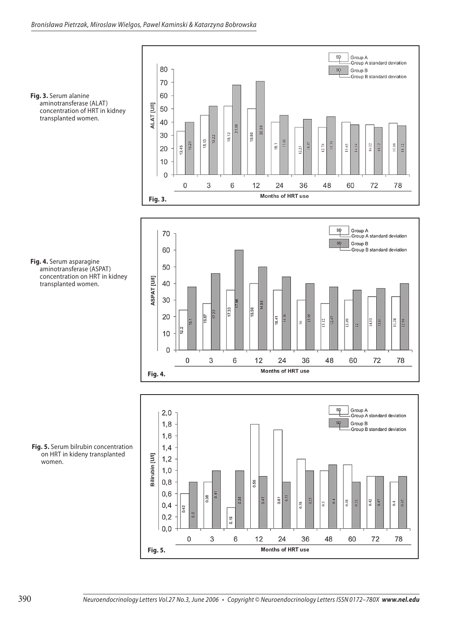

**Fig. 3.** Serum alanine aminotransferase (ALAT) concentration of HRT in kidney transplanted women.

**Fig. 4.** Serum asparagine aminotransferase (ASPAT) concentration on HRT in kidney transplanted women.





**Fig. 5.** Serum bilrubin concentration on HRT in kideny transplanted women.